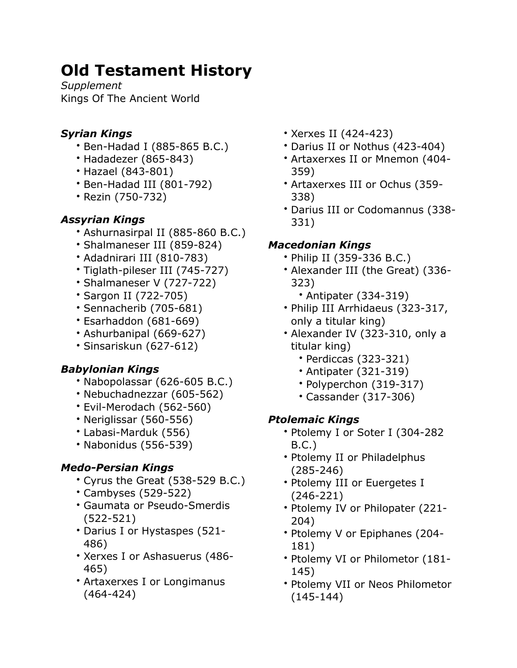# **Old Testament History**

*Supplement* Kings Of The Ancient World

## *Syrian Kings*

- Ben-Hadad I (885-865 B.C.)
- Hadadezer (865-843)
- Hazael (843-801)
- Ben-Hadad III (801-792)
- Rezin (750-732)

## *Assyrian Kings*

- Ashurnasirpal II (885-860 B.C.)
- Shalmaneser III (859-824)
- Adadnirari III (810-783)
- Tiglath-pileser III (745-727)
- Shalmaneser V (727-722)
- Sargon II (722-705)
- Sennacherib (705-681)
- Esarhaddon (681-669)
- Ashurbanipal (669-627)
- Sinsariskun (627-612)

# *Babylonian Kings*

- Nabopolassar (626-605 B.C.)
- Nebuchadnezzar (605-562)
- Evil-Merodach (562-560)
- Neriglissar (560-556)
- Labasi-Marduk (556)
- Nabonidus (556-539)

# *Medo-Persian Kings*

- Cyrus the Great (538-529 B.C.)
- Cambyses (529-522)
- Gaumata or Pseudo-Smerdis (522-521)
- Darius I or Hystaspes (521- 486)
- Xerxes I or Ashasuerus (486- 465)
- Artaxerxes I or Longimanus (464-424)
- Xerxes II (424-423)
- Darius II or Nothus (423-404)
- Artaxerxes II or Mnemon (404- 359)
- Artaxerxes III or Ochus (359- 338)
- Darius III or Codomannus (338- 331)

## *Macedonian Kings*

- Philip II (359-336 B.C.)
- Alexander III (the Great) (336- 323)
	- Antipater (334-319)
- Philip III Arrhidaeus (323-317, only a titular king)
- Alexander IV (323-310, only a titular king)
	- Perdiccas (323-321)
	- Antipater (321-319)
	- Polyperchon (319-317)
	- Cassander (317-306)

#### *Ptolemaic Kings*

- Ptolemy I or Soter I (304-282 B.C.)
- Ptolemy II or Philadelphus (285-246)
- Ptolemy III or Euergetes I (246-221)
- Ptolemy IV or Philopater (221- 204)
- Ptolemy V or Epiphanes (204- 181)
- Ptolemy VI or Philometor (181- 145)
- Ptolemy VII or Neos Philometor (145-144)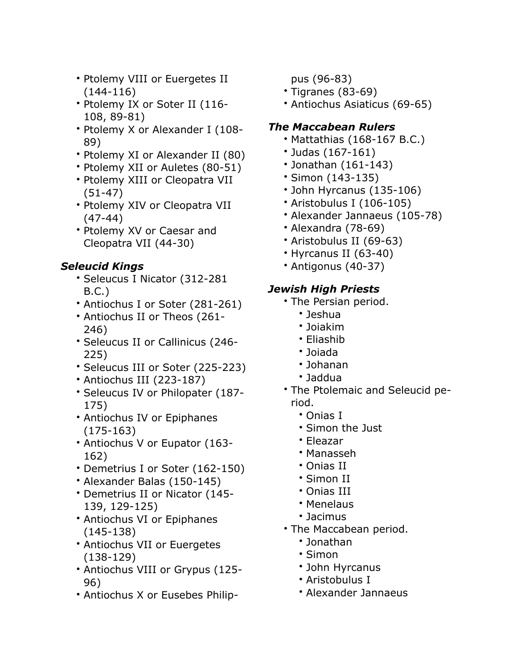- Ptolemy VIII or Euergetes II (144-116)
- Ptolemy IX or Soter II (116- 108, 89-81)
- Ptolemy X or Alexander I (108- 89)
- Ptolemy XI or Alexander II (80)
- Ptolemy XII or Auletes (80-51)
- Ptolemy XIII or Cleopatra VII (51-47)
- Ptolemy XIV or Cleopatra VII (47-44)
- Ptolemy XV or Caesar and Cleopatra VII (44-30)

#### *Seleucid Kings*

- Seleucus I Nicator (312-281 B.C.)
- Antiochus I or Soter (281-261)
- Antiochus II or Theos (261- 246)
- Seleucus II or Callinicus (246- 225)
- Seleucus III or Soter (225-223)
- Antiochus III (223-187)
- Seleucus IV or Philopater (187- 175)
- Antiochus IV or Epiphanes (175-163)
- Antiochus V or Eupator (163- 162)
- Demetrius I or Soter (162-150)
- Alexander Balas (150-145)
- Demetrius II or Nicator (145- 139, 129-125)
- Antiochus VI or Epiphanes (145-138)
- Antiochus VII or Euergetes (138-129)
- Antiochus VIII or Grypus (125- 96)
- Antiochus X or Eusebes Philip-

pus (96-83)

- Tigranes (83-69)
- Antiochus Asiaticus (69-65)

#### *The Maccabean Rulers*

- Mattathias (168-167 B.C.)
- Judas (167-161)
- Jonathan (161-143)
- Simon (143-135)
- John Hyrcanus (135-106)
- Aristobulus I (106-105)
- Alexander Jannaeus (105-78)
- Alexandra (78-69)
- Aristobulus II (69-63)
- Hyrcanus II (63-40)
- Antigonus (40-37)

#### *Jewish High Priests*

- The Persian period.
	- Jeshua
	- Joiakim
	- Eliashib
	- Joiada
	- Johanan
	- Jaddua
- The Ptolemaic and Seleucid period.
	- Onias I
	- Simon the Just
	- Eleazar
	- Manasseh
	- Onias II
	- Simon II
	- Onias III
	- Menelaus
	- Jacimus
- The Maccabean period.
	- Jonathan
	- Simon
	- John Hyrcanus
	- Aristobulus I
	- Alexander Jannaeus